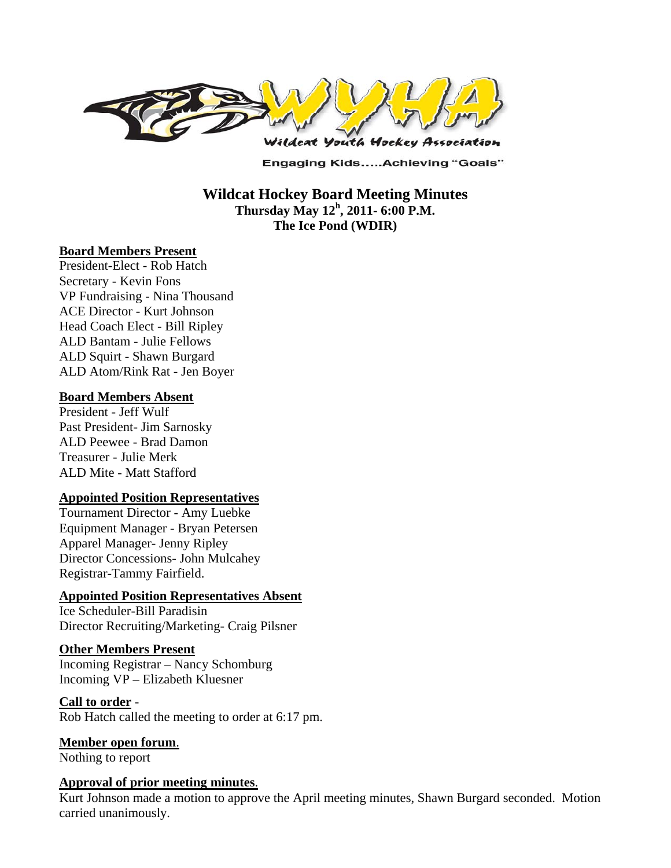

**Engaging Kids.....Achieving "Goals"** 

**Wildcat Hockey Board Meeting Minutes Thursday May 12<sup>h</sup> , 2011- 6:00 P.M. The Ice Pond (WDIR)** 

#### **Board Members Present**

President-Elect - Rob Hatch Secretary - Kevin Fons VP Fundraising - Nina Thousand ACE Director - Kurt Johnson Head Coach Elect - Bill Ripley ALD Bantam - Julie Fellows ALD Squirt - Shawn Burgard ALD Atom/Rink Rat - Jen Boyer

#### **Board Members Absent**

President - Jeff Wulf Past President- Jim Sarnosky ALD Peewee - Brad Damon Treasurer - Julie Merk ALD Mite - Matt Stafford

#### **Appointed Position Representatives**

Tournament Director - Amy Luebke Equipment Manager - Bryan Petersen Apparel Manager- Jenny Ripley Director Concessions- John Mulcahey Registrar-Tammy Fairfield.

### **Appointed Position Representatives Absent**

Ice Scheduler-Bill Paradisin Director Recruiting/Marketing- Craig Pilsner

#### **Other Members Present**

Incoming Registrar – Nancy Schomburg Incoming VP – Elizabeth Kluesner

#### **Call to order** -

Rob Hatch called the meeting to order at 6:17 pm.

**Member open forum**. Nothing to report

#### **Approval of prior meeting minutes**.

Kurt Johnson made a motion to approve the April meeting minutes, Shawn Burgard seconded. Motion carried unanimously.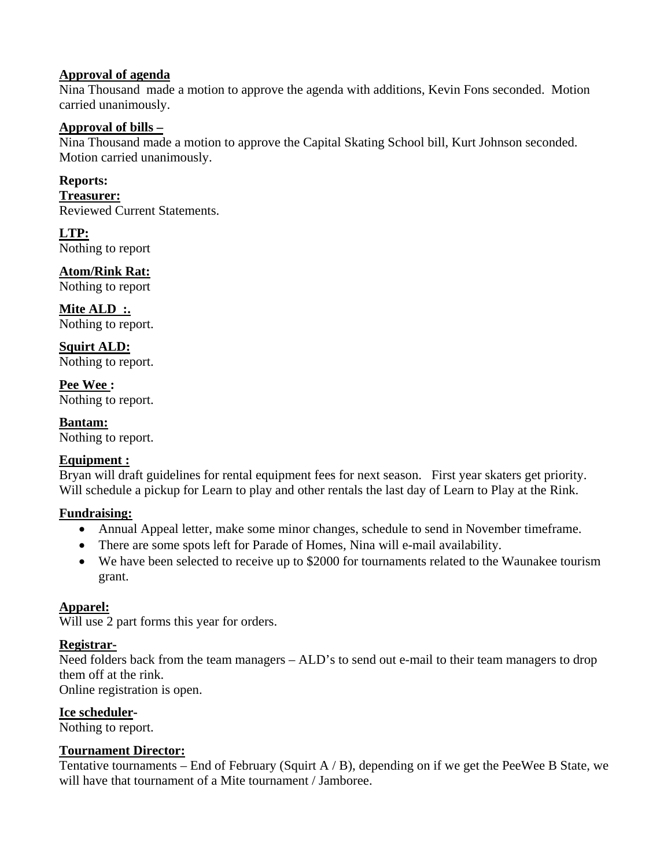### **Approval of agenda**

Nina Thousand made a motion to approve the agenda with additions, Kevin Fons seconded. Motion carried unanimously.

### **Approval of bills –**

Nina Thousand made a motion to approve the Capital Skating School bill, Kurt Johnson seconded. Motion carried unanimously.

### **Reports:**

**Treasurer:**  Reviewed Current Statements.

**LTP:**  Nothing to report

# **Atom/Rink Rat:**

Nothing to report

**Mite ALD :.**  Nothing to report.

**Squirt ALD:**  Nothing to report.

**Pee Wee :**  Nothing to report.

**Bantam:**  Nothing to report.

# **Equipment :**

Bryan will draft guidelines for rental equipment fees for next season. First year skaters get priority. Will schedule a pickup for Learn to play and other rentals the last day of Learn to Play at the Rink.

# **Fundraising:**

- Annual Appeal letter, make some minor changes, schedule to send in November timeframe.
- There are some spots left for Parade of Homes, Nina will e-mail availability.
- We have been selected to receive up to \$2000 for tournaments related to the Waunakee tourism grant.

# **Apparel:**

Will use 2 part forms this year for orders.

# **Registrar-**

Need folders back from the team managers - ALD's to send out e-mail to their team managers to drop them off at the rink.

Online registration is open.

#### **Ice scheduler-**

Nothing to report.

# **Tournament Director:**

Tentative tournaments – End of February (Squirt A  $\beta$ ), depending on if we get the PeeWee B State, we will have that tournament of a Mite tournament / Jamboree.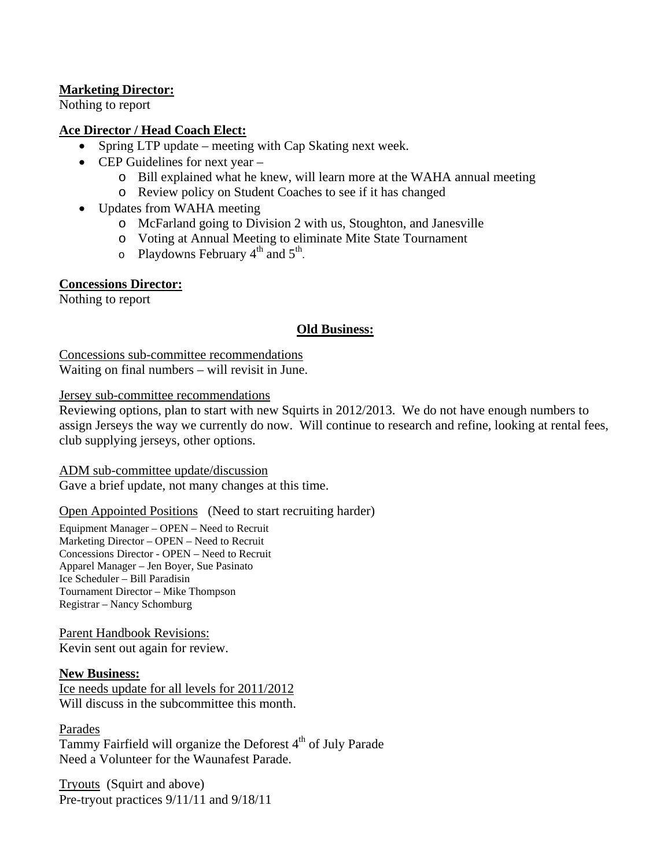# **Marketing Director:**

Nothing to report

### **Ace Director / Head Coach Elect:**

- Spring LTP update meeting with Cap Skating next week.
- $\bullet$  CEP Guidelines for next year
	- o Bill explained what he knew, will learn more at the WAHA annual meeting
	- o Review policy on Student Coaches to see if it has changed
- Updates from WAHA meeting
	- o McFarland going to Division 2 with us, Stoughton, and Janesville
	- o Voting at Annual Meeting to eliminate Mite State Tournament
	- $\circ$  Playdowns February 4<sup>th</sup> and 5<sup>th</sup>.

#### **Concessions Director:**

Nothing to report

# **Old Business:**

Concessions sub-committee recommendations Waiting on final numbers – will revisit in June.

Jersey sub-committee recommendations

Reviewing options, plan to start with new Squirts in 2012/2013. We do not have enough numbers to assign Jerseys the way we currently do now. Will continue to research and refine, looking at rental fees, club supplying jerseys, other options.

#### ADM sub-committee update/discussion

Gave a brief update, not many changes at this time.

#### Open Appointed Positions (Need to start recruiting harder)

Equipment Manager – OPEN – Need to Recruit Marketing Director – OPEN – Need to Recruit Concessions Director - OPEN – Need to Recruit Apparel Manager – Jen Boyer, Sue Pasinato Ice Scheduler – Bill Paradisin Tournament Director – Mike Thompson Registrar – Nancy Schomburg

# Parent Handbook Revisions:

Kevin sent out again for review.

#### **New Business:**

Ice needs update for all levels for 2011/2012 Will discuss in the subcommittee this month.

#### Parades

Tammy Fairfield will organize the Deforest  $4<sup>th</sup>$  of July Parade Need a Volunteer for the Waunafest Parade.

Tryouts (Squirt and above) Pre-tryout practices 9/11/11 and 9/18/11